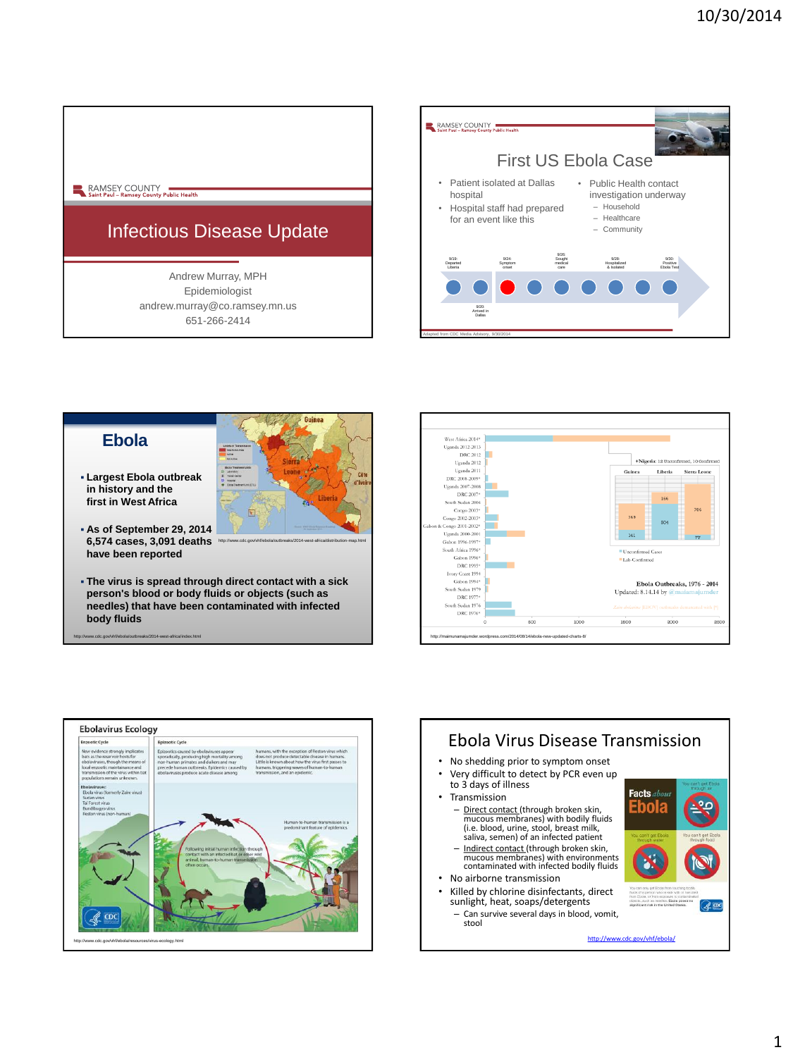## RAMSEY COUNTY<br>Saint Paul – Ramsey County Public Health

# Infectious Disease Update

Andrew Murray, MPH Epidemiologist andrew.murray@co.ramsey.mn.us 651-266-2414





**person's blood or body fluids or objects (such as needles) that have been contaminated with infected body fluids**

http://www.cdc.gov/vhf/ebola/outbreaks/2014-west-africa/index.html





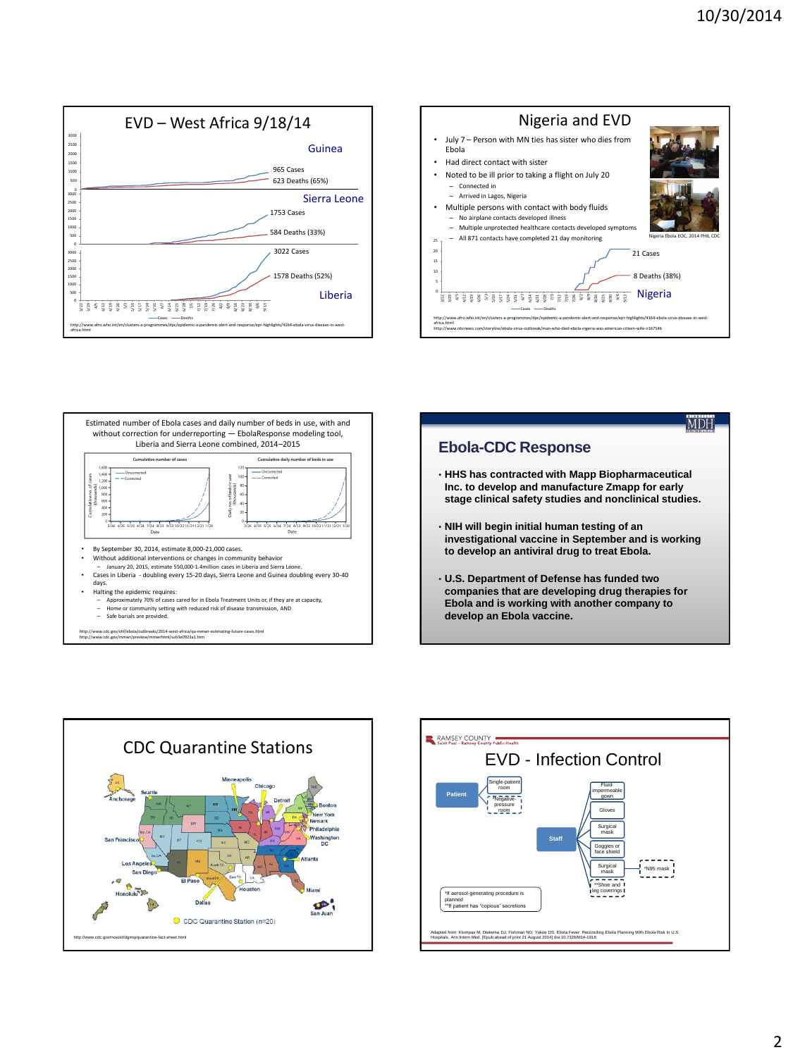









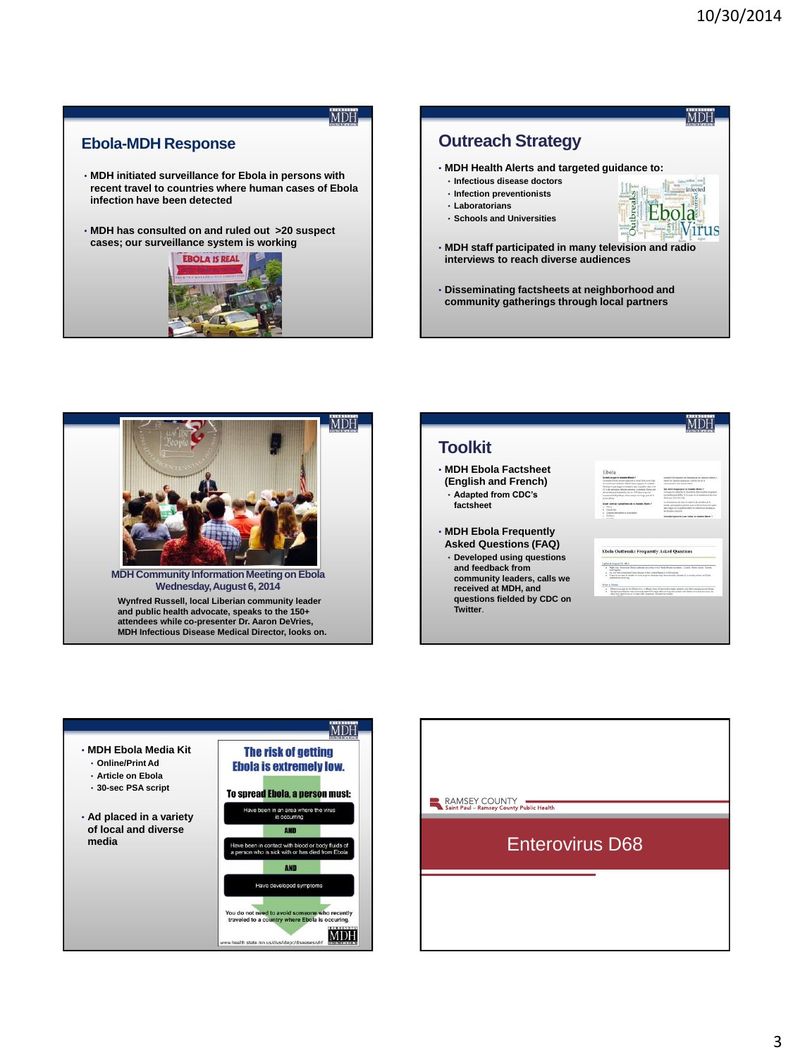**MDH** 

Virus

# **MDH**

#### **Ebola-MDH Response**

- **MDH initiated surveillance for Ebola in persons with recent travel to countries where human cases of Ebola infection have been detected**
- **MDH has consulted on and ruled out >20 suspect cases; our surveillance system is working**



# **Outreach Strategy** • **MDH Health Alerts and targeted guidance to:**

- **Infectious disease doctors**
- **Infection preventionists** • **Laboratorians**
- 
- **Schools and Universities**
- **MDH staff participated in many television and radio interviews to reach diverse audiences**
- **Disseminating factsheets at neighborhood and community gatherings through local partners**



#### MDH **Toolkit** • **MDH Ebola Factsheet (English and French)** • **Adapted from CDC's factsheet** • **MDH Ebola Frequently Asked Questions (FAQ)** reak: Frequently Asked Or • **Developed using questions and feedback from community leaders, calls we received at MDH, and**  the structure of the bank's and **questions fielded by CDC on Twitter**.



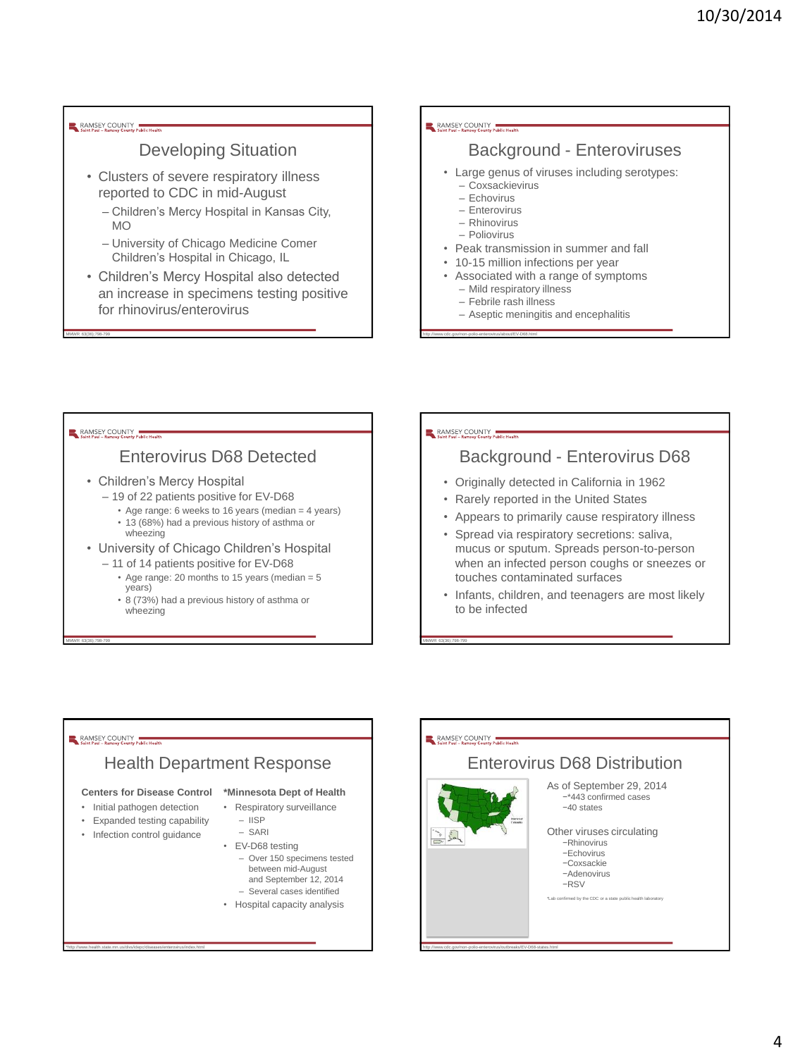#### RAMSEY COUNTY

## Developing Situation

- Clusters of severe respiratory illness reported to CDC in mid-August
	- Children's Mercy Hospital in Kansas City, MO
	- University of Chicago Medicine Comer Children's Hospital in Chicago, IL
- Children's Mercy Hospital also detected an increase in specimens testing positive for rhinovirus/enterovirus

#### RAMSEY COUNTY

### Background - Enteroviruses

- Large genus of viruses including serotypes:
	- Coxsackievirus
	- Echovirus – Enterovirus
	- Rhinovirus
	- Poliovirus

http://www.cdc.gov/non-polio-enterovirus/about/EV-D68.html

- Peak transmission in summer and fall
- 10-15 million infections per year
- Associated with a range of symptoms
	- Mild respiratory illness
	- Febrile rash illness
	- Aseptic meningitis and encephalitis

#### RAMSEY COUNTY

MMWR 63(36);798-799

## Enterovirus D68 Detected

- Children's Mercy Hospital
	- 19 of 22 patients positive for EV-D68
		- Age range: 6 weeks to 16 years (median = 4 years)
		- 13 (68%) had a previous history of asthma or wheezing
- University of Chicago Children's Hospital
	- 11 of 14 patients positive for EV-D68
		- Age range: 20 months to 15 years (median = 5 years)
		- 8 (73%) had a previous history of asthma or wheezing

#### RAMSEY COUNTY

MMWR 63(36);798-799

http://www.cdc.gov/non-polio-enterovirus/outbreaks/EV-D68-states.html

### Background - Enterovirus D68

- Originally detected in California in 1962
- Rarely reported in the United States
- Appears to primarily cause respiratory illness
- Spread via respiratory secretions: saliva, mucus or sputum. Spreads person-to-person when an infected person coughs or sneezes or touches contaminated surfaces
- Infants, children, and teenagers are most likely to be infected

### RAMSEY COUNTY

MMWR 63(36);798-799

### Health Department Response

#### **Centers for Disease Control \*Minnesota Dept of Health**

- Initial pathogen detection
- Expanded testing capability
- Infection control guidance

\*http://www.health.state.mn.us/divs/idepc/diseases/enterovirus/index.html

– IISP

• Respiratory surveillance

- SARI
- EV-D68 testing – Over 150 specimens tested between mid-August and September 12, 2014
	- Several cases identified
- Hospital capacity analysis

#### RAMSEY COUNTY Enterovirus D68 Distribution As of September 29, 2014 −\*443 confirmed cases −40 states Other viruses circulating  $=5$ −Rhinovirus −Echovirus −Coxsackie −Adenovirus